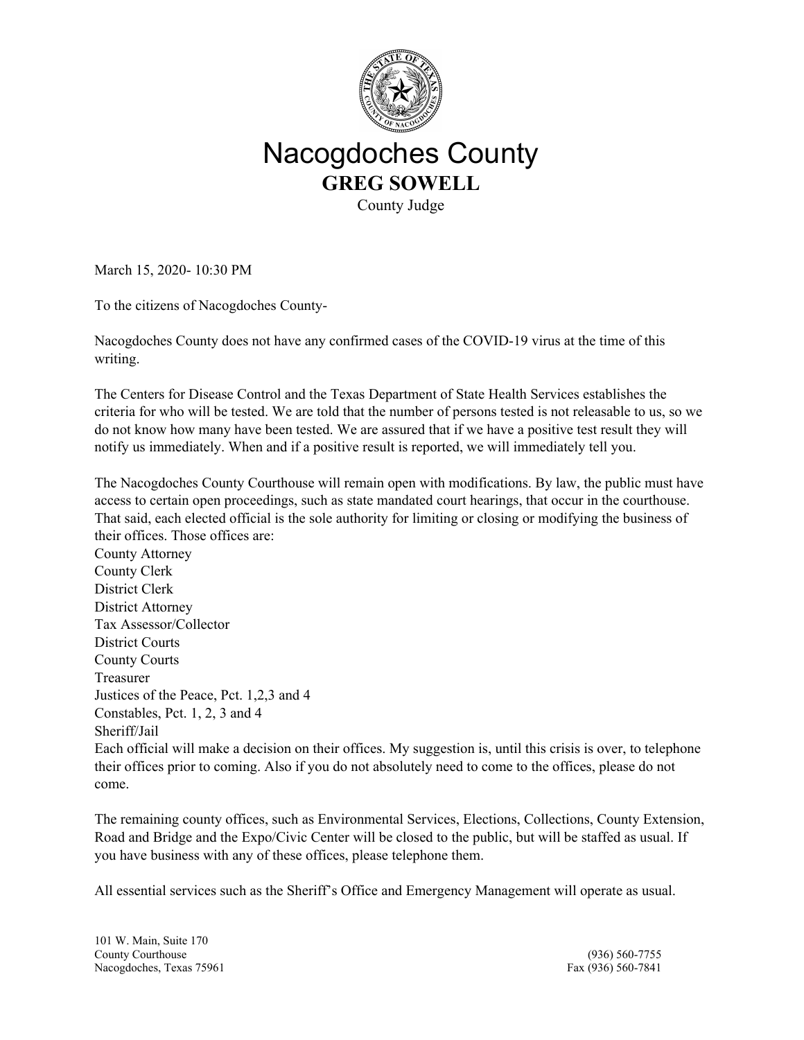

## Nacogdoches County **GREG SOWELL**

County Judge

March 15, 2020- 10:30 PM

To the citizens of Nacogdoches County-

Nacogdoches County does not have any confirmed cases of the COVID-19 virus at the time of this writing.

The Centers for Disease Control and the Texas Department of State Health Services establishes the criteria for who will be tested. We are told that the number of persons tested is not releasable to us, so we do not know how many have been tested. We are assured that if we have a positive test result they will notify us immediately. When and if a positive result is reported, we will immediately tell you.

The Nacogdoches County Courthouse will remain open with modifications. By law, the public must have access to certain open proceedings, such as state mandated court hearings, that occur in the courthouse. That said, each elected official is the sole authority for limiting or closing or modifying the business of their offices. Those offices are:

County Attorney County Clerk District Clerk District Attorney Tax Assessor/Collector District Courts County Courts Treasurer Justices of the Peace, Pct. 1,2,3 and 4 Constables, Pct. 1, 2, 3 and 4 Sheriff/Jail

Each official will make a decision on their offices. My suggestion is, until this crisis is over, to telephone their offices prior to coming. Also if you do not absolutely need to come to the offices, please do not come.

The remaining county offices, such as Environmental Services, Elections, Collections, County Extension, Road and Bridge and the Expo/Civic Center will be closed to the public, but will be staffed as usual. If you have business with any of these offices, please telephone them.

All essential services such as the Sheriff's Office and Emergency Management will operate as usual.